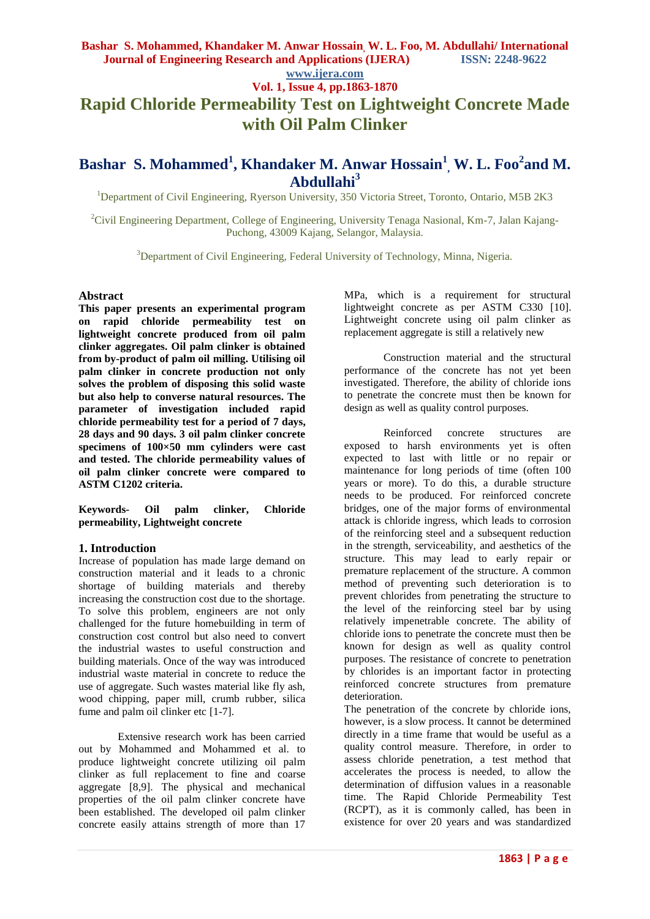### **www.ijera.com Vol. 1, Issue 4, pp.1863-1870**

# **Rapid Chloride Permeability Test on Lightweight Concrete Made with Oil Palm Clinker**

## **Bashar S. Mohammed<sup>1</sup> , Khandaker M. Anwar Hossain<sup>1</sup> , W. L. Foo<sup>2</sup> and M. Abdullahi<sup>3</sup>**

<sup>1</sup>Department of Civil Engineering, Ryerson University, 350 Victoria Street, Toronto, Ontario, M5B 2K3

<sup>2</sup>Civil Engineering Department, College of Engineering, University Tenaga Nasional, Km-7, Jalan Kajang-Puchong, 43009 Kajang, Selangor, Malaysia.

<sup>3</sup>Department of Civil Engineering, Federal University of Technology, Minna, Nigeria.

### **Abstract**

**This paper presents an experimental program on rapid chloride permeability test on lightweight concrete produced from oil palm clinker aggregates. Oil palm clinker is obtained from by-product of palm oil milling. Utilising oil palm clinker in concrete production not only solves the problem of disposing this solid waste but also help to converse natural resources. The parameter of investigation included rapid chloride permeability test for a period of 7 days, 28 days and 90 days. 3 oil palm clinker concrete specimens of 100×50 mm cylinders were cast and tested. The chloride permeability values of oil palm clinker concrete were compared to ASTM C1202 criteria.**

**Keywords- Oil palm clinker, Chloride permeability, Lightweight concrete**

### **1. Introduction**

Increase of population has made large demand on construction material and it leads to a chronic shortage of building materials and thereby increasing the construction cost due to the shortage. To solve this problem, engineers are not only challenged for the future homebuilding in term of construction cost control but also need to convert the industrial wastes to useful construction and building materials. Once of the way was introduced industrial waste material in concrete to reduce the use of aggregate. Such wastes material like fly ash, wood chipping, paper mill, crumb rubber, silica fume and palm oil clinker etc [1-7].

Extensive research work has been carried out by Mohammed and Mohammed et al. to produce lightweight concrete utilizing oil palm clinker as full replacement to fine and coarse aggregate [8,9]. The physical and mechanical properties of the oil palm clinker concrete have been established. The developed oil palm clinker concrete easily attains strength of more than 17 MPa, which is a requirement for structural lightweight concrete as per ASTM C330 [10]. Lightweight concrete using oil palm clinker as replacement aggregate is still a relatively new

Construction material and the structural performance of the concrete has not yet been investigated. Therefore, the ability of chloride ions to penetrate the concrete must then be known for design as well as quality control purposes.

Reinforced concrete structures are exposed to harsh environments yet is often expected to last with little or no repair or maintenance for long periods of time (often 100 years or more). To do this, a durable structure needs to be produced. For reinforced concrete bridges, one of the major forms of environmental attack is chloride ingress, which leads to corrosion of the reinforcing steel and a subsequent reduction in the strength, serviceability, and aesthetics of the structure. This may lead to early repair or premature replacement of the structure. A common method of preventing such deterioration is to prevent chlorides from penetrating the structure to the level of the reinforcing steel bar by using relatively impenetrable concrete. The ability of chloride ions to penetrate the concrete must then be known for design as well as quality control purposes. The resistance of concrete to penetration by chlorides is an important factor in protecting reinforced concrete structures from premature deterioration.

The penetration of the concrete by chloride ions, however, is a slow process. It cannot be determined directly in a time frame that would be useful as a quality control measure. Therefore, in order to assess chloride penetration, a test method that accelerates the process is needed, to allow the determination of diffusion values in a reasonable time. The Rapid Chloride Permeability Test (RCPT), as it is commonly called, has been in existence for over 20 years and was standardized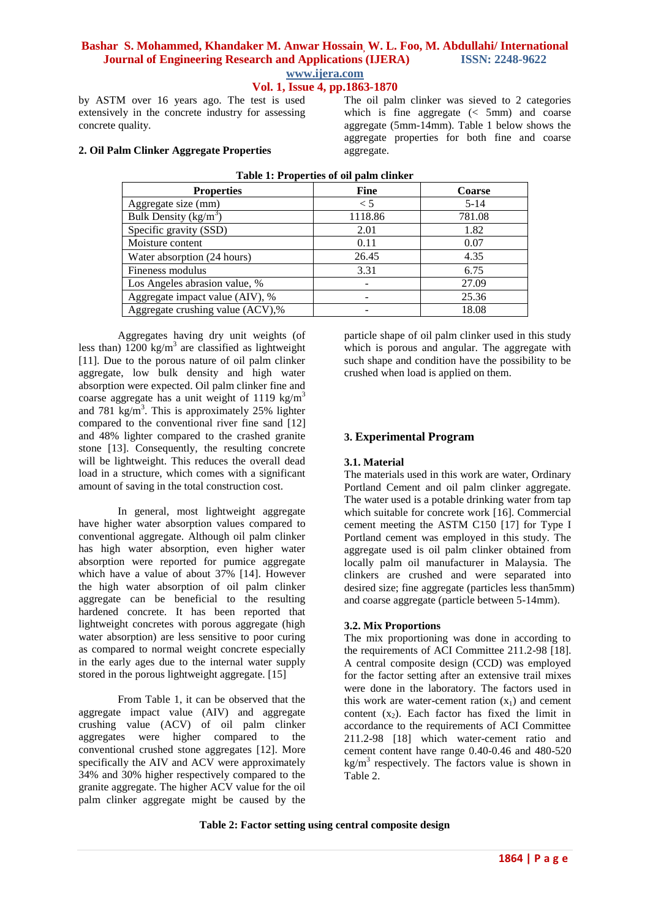**Vol. 1, Issue 4, pp.1863-1870**

by ASTM over 16 years ago. The test is used extensively in the concrete industry for assessing concrete quality.

**2. Oil Palm Clinker Aggregate Properties**

The oil palm clinker was sieved to 2 categories which is fine aggregate  $\left( < 5 \text{mm} \right)$  and coarse aggregate (5mm-14mm). Table 1 below shows the aggregate properties for both fine and coarse aggregate.

| <b>Properties</b>                | <b>Fine</b> | Coarse   |  |
|----------------------------------|-------------|----------|--|
| Aggregate size (mm)              | $\leq 5$    | $5 - 14$ |  |
| Bulk Density $(kg/m^3)$          | 1118.86     | 781.08   |  |
| Specific gravity (SSD)           | 2.01        | 1.82     |  |
| Moisture content                 | 0.11        | 0.07     |  |
| Water absorption (24 hours)      | 26.45       | 4.35     |  |
| Fineness modulus                 | 3.31        | 6.75     |  |
| Los Angeles abrasion value, %    |             | 27.09    |  |
| Aggregate impact value (AIV), %  | ۰           | 25.36    |  |
| Aggregate crushing value (ACV),% |             | 18.08    |  |

**Table 1: Properties of oil palm clinker**

Aggregates having dry unit weights (of less than)  $1200 \text{ kg/m}^3$  are classified as lightweight [11]. Due to the porous nature of oil palm clinker aggregate, low bulk density and high water absorption were expected. Oil palm clinker fine and coarse aggregate has a unit weight of 1119  $kg/m<sup>3</sup>$ and 781 kg/m<sup>3</sup>. This is approximately 25% lighter compared to the conventional river fine sand [12] and 48% lighter compared to the crashed granite stone [13]. Consequently, the resulting concrete will be lightweight. This reduces the overall dead load in a structure, which comes with a significant amount of saving in the total construction cost.

In general, most lightweight aggregate have higher water absorption values compared to conventional aggregate. Although oil palm clinker has high water absorption, even higher water absorption were reported for pumice aggregate which have a value of about 37% [14]. However the high water absorption of oil palm clinker aggregate can be beneficial to the resulting hardened concrete. It has been reported that lightweight concretes with porous aggregate (high water absorption) are less sensitive to poor curing as compared to normal weight concrete especially in the early ages due to the internal water supply stored in the porous lightweight aggregate. [15]

From Table 1, it can be observed that the aggregate impact value (AIV) and aggregate crushing value (ACV) of oil palm clinker aggregates were higher compared to the conventional crushed stone aggregates [12]. More specifically the AIV and ACV were approximately 34% and 30% higher respectively compared to the granite aggregate. The higher ACV value for the oil palm clinker aggregate might be caused by the

particle shape of oil palm clinker used in this study which is porous and angular. The aggregate with such shape and condition have the possibility to be crushed when load is applied on them.

### **3. Experimental Program**

### **3.1. Material**

The materials used in this work are water, Ordinary Portland Cement and oil palm clinker aggregate. The water used is a potable drinking water from tap which suitable for concrete work [16]. Commercial cement meeting the ASTM C150 [17] for Type I Portland cement was employed in this study. The aggregate used is oil palm clinker obtained from locally palm oil manufacturer in Malaysia. The clinkers are crushed and were separated into desired size; fine aggregate (particles less than5mm) and coarse aggregate (particle between 5-14mm).

### **3.2. Mix Proportions**

The mix proportioning was done in according to the requirements of ACI Committee 211.2-98 [18]. A central composite design (CCD) was employed for the factor setting after an extensive trail mixes were done in the laboratory. The factors used in this work are water-cement ration  $(x_1)$  and cement content  $(x_2)$ . Each factor has fixed the limit in accordance to the requirements of ACI Committee 211.2-98 [18] which water-cement ratio and cement content have range 0.40-0.46 and 480-520  $kg/m<sup>3</sup>$  respectively. The factors value is shown in Table 2.

**Table 2: Factor setting using central composite design**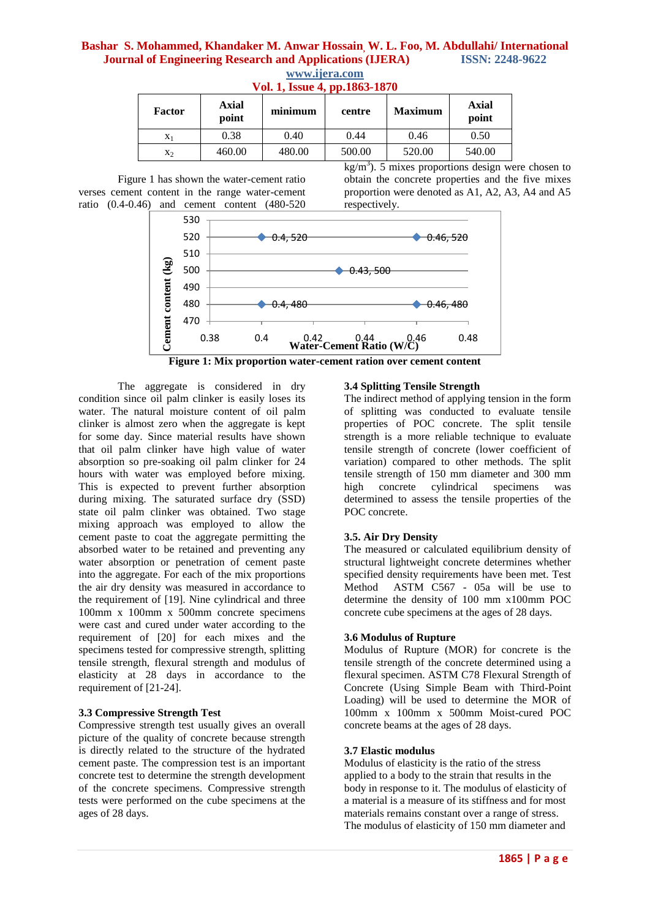| $\sim$ $\sim$ $\sim$ $\sim$ $\sim$ $\sim$ $\sim$<br><b>PPIAUUL IUIU</b> |                |         |        |                |                |  |
|-------------------------------------------------------------------------|----------------|---------|--------|----------------|----------------|--|
| Factor                                                                  | Axial<br>point | minimum | centre | <b>Maximum</b> | Axial<br>point |  |
| $X_1$                                                                   | 0.38           | 0.40    | 0.44   | 0.46           | 0.50           |  |
| X2                                                                      | 460.00         | 480.00  | 500.00 | 520.00         | 540.00         |  |

### **www.ijera.com Vol. 1, Issue 4, pp.1863-1870**

Figure 1 has shown the water-cement ratio verses cement content in the range water-cement ratio (0.4-0.46) and cement content (480-520

 $kg/m<sup>3</sup>$ ). 5 mixes proportions design were chosen to obtain the concrete properties and the five mixes proportion were denoted as A1, A2, A3, A4 and A5 respectively.



**Figure 1: Mix proportion water-cement ration over cement content**

The aggregate is considered in dry condition since oil palm clinker is easily loses its water. The natural moisture content of oil palm clinker is almost zero when the aggregate is kept for some day. Since material results have shown that oil palm clinker have high value of water absorption so pre-soaking oil palm clinker for 24 hours with water was employed before mixing. This is expected to prevent further absorption during mixing. The saturated surface dry (SSD) state oil palm clinker was obtained. Two stage mixing approach was employed to allow the cement paste to coat the aggregate permitting the absorbed water to be retained and preventing any water absorption or penetration of cement paste into the aggregate. For each of the mix proportions the air dry density was measured in accordance to the requirement of [19]. Nine cylindrical and three 100mm x 100mm x 500mm concrete specimens were cast and cured under water according to the requirement of [20] for each mixes and the specimens tested for compressive strength, splitting tensile strength, flexural strength and modulus of elasticity at 28 days in accordance to the requirement of [21-24].

### **3.3 Compressive Strength Test**

Compressive strength test usually gives an overall picture of the quality of concrete because strength is directly related to the structure of the hydrated cement paste. The compression test is an important concrete test to determine the strength development of the concrete specimens. Compressive strength tests were performed on the cube specimens at the ages of 28 days.

### **3.4 Splitting Tensile Strength**

The indirect method of applying tension in the form of splitting was conducted to evaluate tensile properties of POC concrete. The split tensile strength is a more reliable technique to evaluate tensile strength of concrete (lower coefficient of variation) compared to other methods. The split tensile strength of 150 mm diameter and 300 mm high concrete cylindrical specimens was determined to assess the tensile properties of the POC concrete.

### **3.5. Air Dry Density**

The measured or calculated equilibrium density of structural lightweight concrete determines whether specified density requirements have been met. Test Method ASTM C567 - 05a will be use to determine the density of 100 mm x100mm POC concrete cube specimens at the ages of 28 days.

### **3.6 Modulus of Rupture**

Modulus of Rupture (MOR) for concrete is the tensile strength of the concrete determined using a flexural specimen. ASTM C78 Flexural Strength of Concrete (Using Simple Beam with Third-Point Loading) will be used to determine the MOR of 100mm x 100mm x 500mm Moist-cured POC concrete beams at the ages of 28 days.

### **3.7 Elastic modulus**

Modulus of elasticity is the ratio of the stress applied to a body to the strain that results in the body in response to it. The modulus of elasticity of a material is a measure of its stiffness and for most materials remains constant over a range of stress. The modulus of elasticity of 150 mm diameter and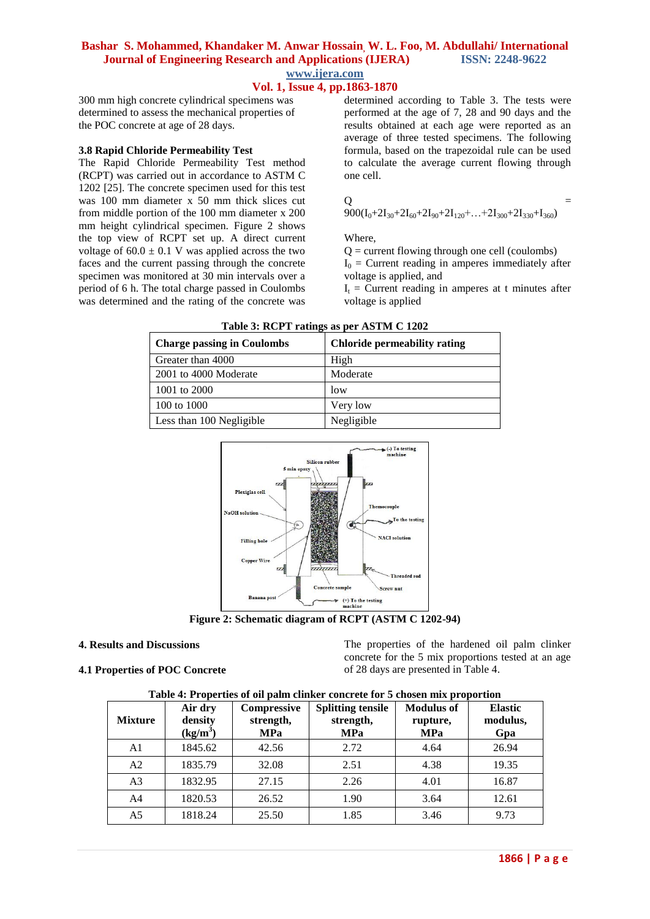### **Vol. 1, Issue 4, pp.1863-1870**

300 mm high concrete cylindrical specimens was determined to assess the mechanical properties of the POC concrete at age of 28 days.

### **3.8 Rapid Chloride Permeability Test**

The Rapid Chloride Permeability Test method (RCPT) was carried out in accordance to ASTM C 1202 [25]. The concrete specimen used for this test was 100 mm diameter x 50 mm thick slices cut from middle portion of the 100 mm diameter x 200 mm height cylindrical specimen. Figure 2 shows the top view of RCPT set up. A direct current voltage of  $60.0 \pm 0.1$  V was applied across the two faces and the current passing through the concrete specimen was monitored at 30 min intervals over a period of 6 h. The total charge passed in Coulombs was determined and the rating of the concrete was

determined according to Table 3. The tests were performed at the age of 7, 28 and 90 days and the results obtained at each age were reported as an average of three tested specimens. The following formula, based on the trapezoidal rule can be used to calculate the average current flowing through one cell.

$$
\overline{Q}
$$

$$
Q = 900(I_0+2I_{30}+2I_{60}+2I_{90}+2I_{120}+...+2I_{300}+2I_{330}+I_{360}) =
$$

Where,

 $Q =$  current flowing through one cell (coulombs)  $I_0$  = Current reading in amperes immediately after voltage is applied, and

 $I_t$  = Current reading in amperes at t minutes after voltage is applied

| <b>Charge passing in Coulombs</b> | Chloride permeability rating |
|-----------------------------------|------------------------------|
| Greater than 4000                 | High                         |
| 2001 to 4000 Moderate             | Moderate                     |
| 1001 to 2000                      | low                          |
| 100 to 1000                       | Very low                     |
| Less than 100 Negligible          | Negligible                   |

**Table 3: RCPT ratings as per ASTM C 1202**



**Figure 2: Schematic diagram of RCPT (ASTM C 1202-94)**

### **4. Results and Discussions**

### **4.1 Properties of POC Concrete**

The properties of the hardened oil palm clinker concrete for the 5 mix proportions tested at an age of 28 days are presented in Table 4.

| <b>Mixture</b> | Air dry<br>density<br>$(kg/m^3)$ | Compressive<br>strength,<br><b>MPa</b> | <b>Splitting tensile</b><br>strength,<br><b>MPa</b> | <b>Modulus of</b><br>rupture,<br><b>MPa</b> | <b>Elastic</b><br>modulus,<br>Gpa |
|----------------|----------------------------------|----------------------------------------|-----------------------------------------------------|---------------------------------------------|-----------------------------------|
| A1             | 1845.62                          | 42.56                                  | 2.72                                                | 4.64                                        | 26.94                             |
| A2             | 1835.79                          | 32.08                                  | 2.51                                                | 4.38                                        | 19.35                             |
| A <sub>3</sub> | 1832.95                          | 27.15                                  | 2.26                                                | 4.01                                        | 16.87                             |
| A4             | 1820.53                          | 26.52                                  | 1.90                                                | 3.64                                        | 12.61                             |
| A5             | 1818.24                          | 25.50                                  | 1.85                                                | 3.46                                        | 9.73                              |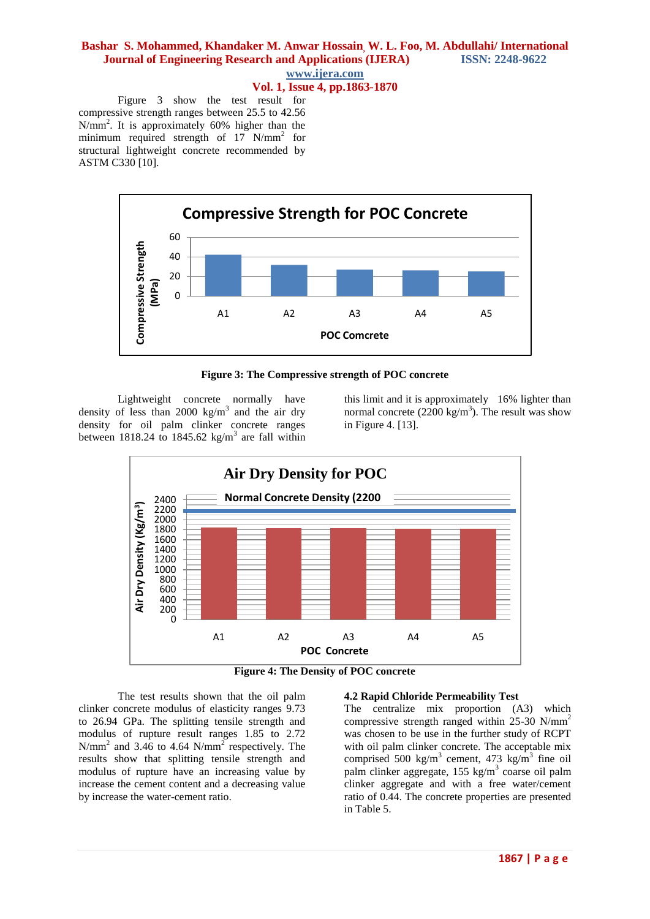### **Vol. 1, Issue 4, pp.1863-1870**

Figure 3 show the test result for compressive strength ranges between 25.5 to 42.56 N/mm<sup>2</sup> . It is approximately 60% higher than the minimum required strength of 17 N/mm<sup>2</sup> for structural lightweight concrete recommended by ASTM C330 [10].



**Figure 3: The Compressive strength of POC concrete**

Lightweight concrete normally have density of less than 2000  $\text{kg/m}^3$  and the air dry density for oil palm clinker concrete ranges between 1818.24 to 1845.62 kg/m<sup>3</sup> are fall within

this limit and it is approximately 16% lighter than normal concrete  $(2200 \text{ kg/m}^3)$ . The result was show in Figure 4. [13].



**Figure 4: The Density of POC concrete**

The test results shown that the oil palm clinker concrete modulus of elasticity ranges 9.73 to 26.94 GPa. The splitting tensile strength and modulus of rupture result ranges 1.85 to 2.72 N/mm<sup>2</sup> and 3.46 to 4.64 N/mm<sup>2</sup> respectively. The results show that splitting tensile strength and modulus of rupture have an increasing value by increase the cement content and a decreasing value by increase the water-cement ratio.

### **4.2 Rapid Chloride Permeability Test**

The centralize mix proportion (A3) which compressive strength ranged within 25-30 N/mm<sup>2</sup> was chosen to be use in the further study of RCPT with oil palm clinker concrete. The acceptable mix comprised 500 kg/m<sup>3</sup> cement, 473 kg/m<sup>3</sup> fine oil palm clinker aggregate, 155 kg/m<sup>3</sup> coarse oil palm clinker aggregate and with a free water/cement ratio of 0.44. The concrete properties are presented in Table 5.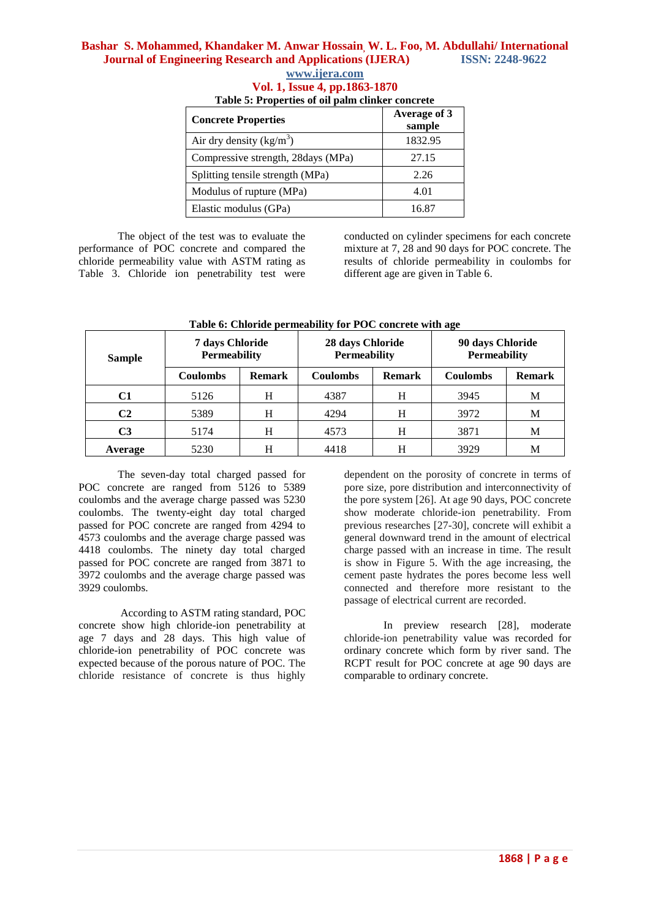### **www.ijera.com Vol. 1, Issue 4, pp.1863-1870 Table 5: Properties of oil palm clinker concrete**

| <b>Concrete Properties</b>         | Average of 3<br>sample |
|------------------------------------|------------------------|
| Air dry density $(kg/m^3)$         | 1832.95                |
| Compressive strength, 28days (MPa) | 27.15                  |
| Splitting tensile strength (MPa)   | 2.26                   |
| Modulus of rupture (MPa)           | 4.01                   |
| Elastic modulus (GPa)              | 16.87                  |

The object of the test was to evaluate the performance of POC concrete and compared the chloride permeability value with ASTM rating as Table 3. Chloride ion penetrability test were

conducted on cylinder specimens for each concrete mixture at 7, 28 and 90 days for POC concrete. The results of chloride permeability in coulombs for different age are given in Table 6.

| <b>Sample</b>  | 7 days Chloride<br><b>Permeability</b> |               | 28 days Chloride<br><b>Permeability</b> |               | 90 days Chloride<br><b>Permeability</b> |               |
|----------------|----------------------------------------|---------------|-----------------------------------------|---------------|-----------------------------------------|---------------|
|                | <b>Coulombs</b>                        | <b>Remark</b> | <b>Coulombs</b>                         | <b>Remark</b> | <b>Coulombs</b>                         | <b>Remark</b> |
| C1             | 5126                                   | H             | 4387                                    | H             | 3945                                    | М             |
| C <sub>2</sub> | 5389                                   | H             | 4294                                    | H             | 3972                                    | М             |
| C3             | 5174                                   | H             | 4573                                    | H             | 3871                                    | М             |
| Average        | 5230                                   | н             | 4418                                    | H             | 3929                                    | M             |

**Table 6: Chloride permeability for POC concrete with age**

The seven-day total charged passed for POC concrete are ranged from 5126 to 5389 coulombs and the average charge passed was 5230 coulombs. The twenty-eight day total charged passed for POC concrete are ranged from 4294 to 4573 coulombs and the average charge passed was 4418 coulombs. The ninety day total charged passed for POC concrete are ranged from 3871 to 3972 coulombs and the average charge passed was 3929 coulombs.

According to ASTM rating standard, POC concrete show high chloride-ion penetrability at age 7 days and 28 days. This high value of chloride-ion penetrability of POC concrete was expected because of the porous nature of POC. The chloride resistance of concrete is thus highly

dependent on the porosity of concrete in terms of pore size, pore distribution and interconnectivity of the pore system [26]. At age 90 days, POC concrete show moderate chloride-ion penetrability. From previous researches [27-30], concrete will exhibit a general downward trend in the amount of electrical charge passed with an increase in time. The result is show in Figure 5. With the age increasing, the cement paste hydrates the pores become less well connected and therefore more resistant to the passage of electrical current are recorded.

In preview research [28], moderate chloride-ion penetrability value was recorded for ordinary concrete which form by river sand. The RCPT result for POC concrete at age 90 days are comparable to ordinary concrete.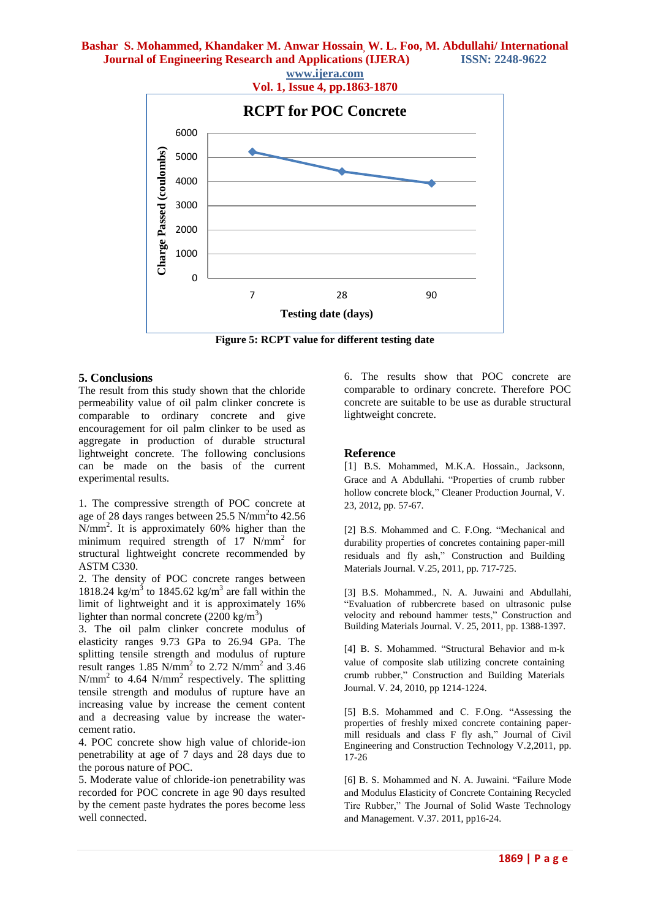

**Figure 5: RCPT value for different testing date**

### **5. Conclusions**

The result from this study shown that the chloride permeability value of oil palm clinker concrete is comparable to ordinary concrete and give encouragement for oil palm clinker to be used as aggregate in production of durable structural lightweight concrete. The following conclusions can be made on the basis of the current experimental results.

1. The compressive strength of POC concrete at age of 28 days ranges between 25.5 N/mm<sup>2</sup>to 42.56 N/mm<sup>2</sup> . It is approximately 60% higher than the minimum required strength of 17 N/mm<sup>2</sup> for structural lightweight concrete recommended by ASTM C330.

2. The density of POC concrete ranges between 1818.24 kg/m<sup>3</sup> to 1845.62 kg/m<sup>3</sup> are fall within the limit of lightweight and it is approximately 16% lighter than normal concrete  $(2200 \text{ kg/m}^3)$ 

3. The oil palm clinker concrete modulus of elasticity ranges 9.73 GPa to 26.94 GPa. The splitting tensile strength and modulus of rupture result ranges  $1.85$  N/mm<sup>2</sup> to  $2.72$  N/mm<sup>2</sup> and  $3.46$  $N/mm<sup>2</sup>$  to 4.64  $N/mm<sup>2</sup>$  respectively. The splitting tensile strength and modulus of rupture have an increasing value by increase the cement content and a decreasing value by increase the watercement ratio.

4. POC concrete show high value of chloride-ion penetrability at age of 7 days and 28 days due to the porous nature of POC.

5. Moderate value of chloride-ion penetrability was recorded for POC concrete in age 90 days resulted by the cement paste hydrates the pores become less well connected.

6. The results show that POC concrete are comparable to ordinary concrete. Therefore POC concrete are suitable to be use as durable structural lightweight concrete.

### **Reference**

[1] B.S. Mohammed, M.K.A. Hossain., Jacksonn, Grace and A Abdullahi. "Properties of crumb rubber hollow concrete block," Cleaner Production Journal, V. 23, 2012, pp. 57-67.

[2] B.S. Mohammed and C. F.Ong. "Mechanical and durability properties of concretes containing paper-mill residuals and fly ash," Construction and Building Materials Journal[. V.25, 2](http://www.sciencedirect.com/science?_ob=PublicationURL&_tockey=%23TOC%235702%232011%23999749997%232729734%23FLA%23&_cdi=5702&_pubType=J&view=c&_auth=y&_acct=C000050221&_version=1&_urlVersion=0&_userid=10&md5=0d179c8caad25e72ebb7cf2d88bdb641)011, pp. 717-725.

[3] B.S. Mohammed., N. A. Juwaini and Abdullahi, "Evaluation of rubbercrete based on ultrasonic pulse velocity and rebound hammer tests," Construction and Building Materials Journal*.* V. 25, 2011, pp. 1388-1397.

[4] B. S. Mohammed. "Structural Behavior and m-k value of composite slab utilizing concrete containing crumb rubber," Construction and Building Materials Journal. V. 24, 2010, pp 1214-1224.

[5] B.S. Mohammed and C. F.Ong. "Assessing the properties of freshly mixed concrete containing papermill residuals and class F fly ash," Journal of Civil Engineering and Construction Technology V.2,2011, pp. 17-26

[6] B. S. Mohammed and N. A. Juwaini. "Failure Mode and Modulus Elasticity of Concrete Containing Recycled Tire Rubber," The Journal of Solid Waste Technology and Management. V.37. 2011, pp16-24.